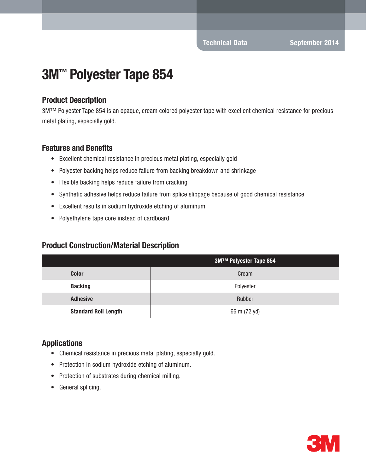# 3M™ Polyester Tape 854

## Product Description

3M™ Polyester Tape 854 is an opaque, cream colored polyester tape with excellent chemical resistance for precious metal plating, especially gold.

#### Features and Benefits

- Excellent chemical resistance in precious metal plating, especially gold
- Polyester backing helps reduce failure from backing breakdown and shrinkage
- Flexible backing helps reduce failure from cracking
- Synthetic adhesive helps reduce failure from splice slippage because of good chemical resistance
- Excellent results in sodium hydroxide etching of aluminum
- Polyethylene tape core instead of cardboard

### Product Construction/Material Description

|                             | 3M™ Polyester Tape 854 |  |
|-----------------------------|------------------------|--|
| <b>Color</b>                | Cream                  |  |
| <b>Backing</b>              | Polyester              |  |
| <b>Adhesive</b>             | Rubber                 |  |
| <b>Standard Roll Length</b> | 66 m (72 yd)           |  |

### Applications

- Chemical resistance in precious metal plating, especially gold.
- Protection in sodium hydroxide etching of aluminum.
- Protection of substrates during chemical milling.
- General splicing.

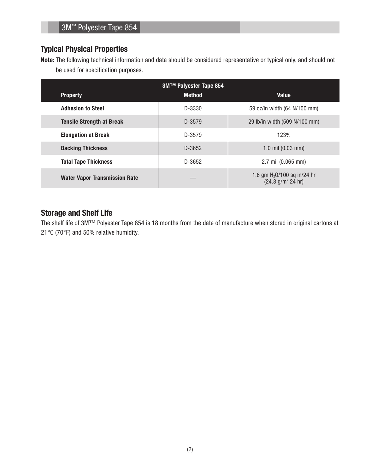## Typical Physical Properties

Note: The following technical information and data should be considered representative or typical only, and should not be used for specification purposes.

| 3M™ Polyester Tape 854               |               |                                                                          |  |
|--------------------------------------|---------------|--------------------------------------------------------------------------|--|
| <b>Property</b>                      | <b>Method</b> | <b>Value</b>                                                             |  |
| <b>Adhesion to Steel</b>             | D-3330        | 59 oz/in width (64 N/100 mm)                                             |  |
| <b>Tensile Strength at Break</b>     | D-3579        | 29 lb/in width (509 N/100 mm)                                            |  |
| <b>Elongation at Break</b>           | D-3579        | 123%                                                                     |  |
| <b>Backing Thickness</b>             | D-3652        | 1.0 mil $(0.03 \text{ mm})$                                              |  |
| <b>Total Tape Thickness</b>          | D-3652        | 2.7 mil (0.065 mm)                                                       |  |
| <b>Water Vapor Transmission Rate</b> |               | 1.6 gm H <sub>2</sub> O/100 sq in/24 hr<br>(24.8 g/m <sup>2</sup> 24 hr) |  |

## Storage and Shelf Life

The shelf life of 3M™ Polyester Tape 854 is 18 months from the date of manufacture when stored in original cartons at 21°C (70°F) and 50% relative humidity.